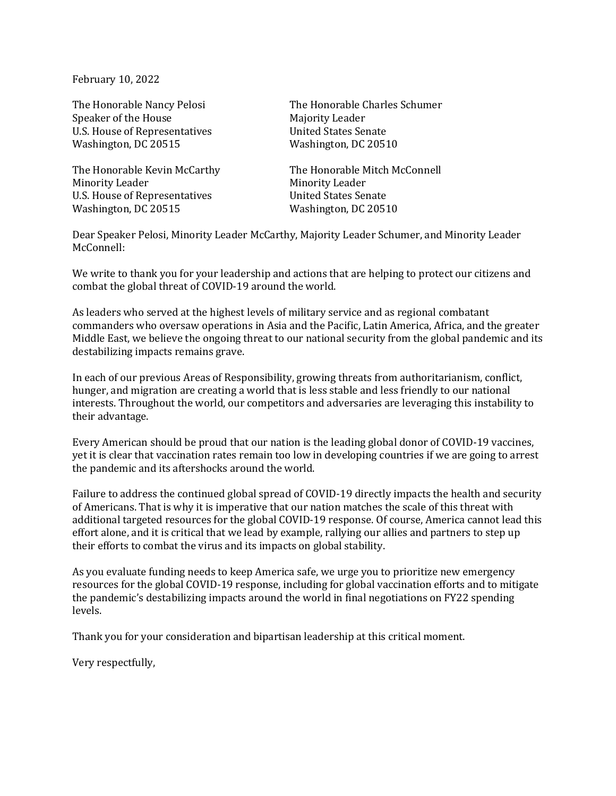February 10, 2022

Speaker of the House Majority Leader U.S. House of Representatives United States Senate Washington, DC 20515 Washington, DC 20510

Minority Leader **Minority** Leader U.S. House of Representatives **United States Senate** Washington, DC 20515 Washington, DC 20510

The Honorable Nancy Pelosi The Honorable Charles Schumer

The Honorable Kevin McCarthy The Honorable Mitch McConnell

Dear Speaker Pelosi, Minority Leader McCarthy, Majority Leader Schumer, and Minority Leader McConnell:

We write to thank you for your leadership and actions that are helping to protect our citizens and combat the global threat of COVID-19 around the world.

As leaders who served at the highest levels of military service and as regional combatant commanders who oversaw operations in Asia and the Pacific, Latin America, Africa, and the greater Middle East, we believe the ongoing threat to our national security from the global pandemic and its destabilizing impacts remains grave.

In each of our previous Areas of Responsibility, growing threats from authoritarianism, conflict, hunger, and migration are creating a world that is less stable and less friendly to our national interests. Throughout the world, our competitors and adversaries are leveraging this instability to their advantage.

Every American should be proud that our nation is the leading global donor of COVID-19 vaccines, yet it is clear that vaccination rates remain too low in developing countries if we are going to arrest the pandemic and its aftershocks around the world.

Failure to address the continued global spread of COVID-19 directly impacts the health and security of Americans. That is why it is imperative that our nation matches the scale of this threat with additional targeted resources for the global COVID-19 response. Of course, America cannot lead this effort alone, and it is critical that we lead by example, rallying our allies and partners to step up their efforts to combat the virus and its impacts on global stability.

As you evaluate funding needs to keep America safe, we urge you to prioritize new emergency resources for the global COVID-19 response, including for global vaccination efforts and to mitigate the pandemic's destabilizing impacts around the world in final negotiations on FY22 spending levels.

Thank you for your consideration and bipartisan leadership at this critical moment.

Very respectfully,